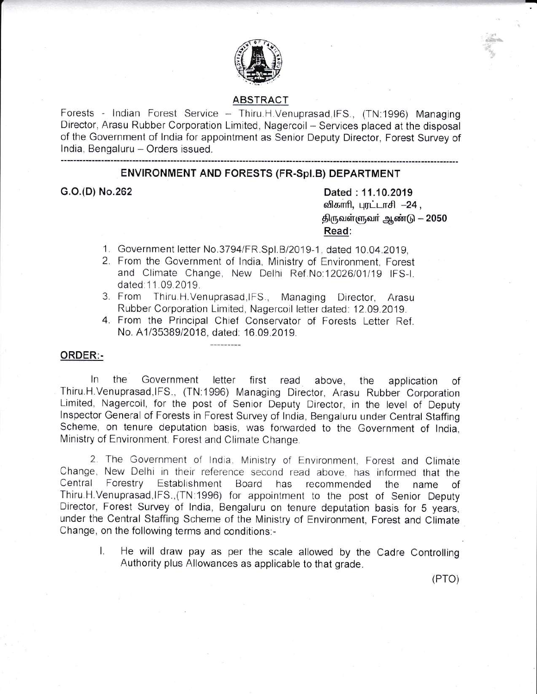

#### ABSTRACT

Forests - Indian Forest Service - Thiru.H.Venuprasad,IFS., (TN:1996) Managing Director, Arasu Rubber Corporation Limited, Nagercoil - Services placed at the disposal of the Government of lndia for appointment as Senior Deputy Director, Forest Survey of India, Bengaluru - Orders issued.

#### ENVIRONMENT AND FORESTS (FR-Spl.B) DEPARTMENT

G.O.(D) No.262 Dated : 11.10.2019 விகாரி, புரட்டாசி -24, திருவள்ளுவர் ஆண்டு — 2050 Read:

:

- 1. Government letter No.3794/FR.Spl.B/2019-1, dated 10.04.2019,
- 2. From the Government of lndia, Ministry of Environment, Forest and Climate Change, New Delhi Ref No:12026/01/19 IFS-I. dated: 11.09.2019.
- 3. From Thiru.H.Venuprasad, IFS., Managing Director, Arasu Rubber Corporation Limited, Nagercoil letter dated: 12.09.2019.
- 4. From the Principal Chief Conservator of Forests Letter Ref. No. A1/35389/2018, dated: 16.09.2019.

#### ORDER:-

ln the Government letter first read above, the application of Thiru.H.Venuprasad,lFS., (TN.1996) Managing Director, Arasu Rubber Corporation Limited, Nagercoil, for the post of Senior Deputy Director, in the level of Deputy lnspector General of Forests in Forest Survey of lndia, Bengaluru under Central Staffing Scheme. on tenure deputation basis, was forwarded to the Government of lndia. Ministry of Environment. Forest and Climate Change

2. The Government of India. Ministry of Environment, Forest and Climate Change, New Delhi in their reference second read above, has informed that the Central Forestry Establishment Board has recommended the name of Central Forestry Establishment Board has recommended the name of Thiru.H.Venuprasad,lFS.,(TN 1996) for appointment to the post of Senior Deputy Director, Forest Survey of lndia, Bengaluru on tenure deputation basis for 5 years, under the Central Staffing Scheme of the Ministry of Environment, Forest and Climate Change, on the following terms and conditions:-

L He will draw pay as per the scale allowed by the Cadre Controlling Authority plus Allowances as applicable to that grade.

(Pro)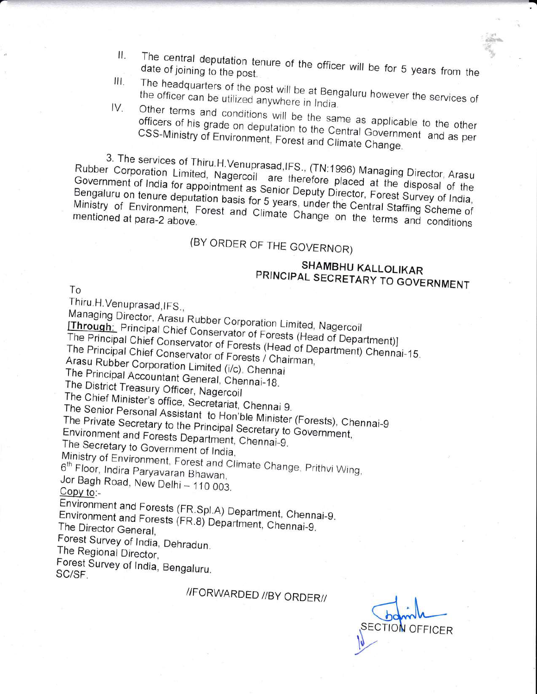- The central deputation tenure of the officer will be for 5 years from the Ħ., date of joining to the post.
- The headquarters of the post will be at Bengaluru however the services of III. the officer can be utilized anywhere in India.
- Other terms and conditions will be the same as applicable to the other IV. officers of his grade on deputation to the Central Government and as per CSS-Ministry of Environment, Forest and Climate Change.

3. The services of Thiru.H.Venuprasad, IFS., (TN:1996) Managing Director, Arasu Rubber Corporation Limited, Nagercoil are therefore placed at the disposal of the Government of India for appointment as Senior Deputy Director, Forest Survey of India, Bengaluru on tenure deputation basis for 5 years, under the Central Staffing Scheme of Ministry of Environment, Forest and Climate Change on the terms and conditions mentioned at para-2 above.

### (BY ORDER OF THE GOVERNOR)

### SHAMBHU KALLOLIKAR PRINCIPAL SECRETARY TO GOVERNMENT

To

Thiru.H.Venuprasad, IFS.,

Managing Director, Arasu Rubber Corporation Limited, Nagercoil

[Through: Principal Chief Conservator of Forests (Head of Department)]

The Principal Chief Conservator of Forests (Head of Department) Chennai-15. The Principal Chief Conservator of Forests / Chairman,

Arasu Rubber Corporation Limited (i/c), Chennai

The Principal Accountant General, Chennai-18.

The District Treasury Officer, Nagercoil

The Chief Minister's office, Secretariat, Chennai 9.

The Senior Personal Assistant to Hon'ble Minister (Forests), Chennai-9

The Private Secretary to the Principal Secretary to Government, Environment and Forests Department, Chennai-9.

The Secretary to Government of India,

Ministry of Environment, Forest and Climate Change, Prithvi Wing, 6<sup>th</sup> Floor, Indira Paryavaran Bhawan,

Jor Bagh Road, New Delhi - 110 003. Copy to:-

Environment and Forests (FR.Spl.A) Department, Chennai-9.

Environment and Forests (FR.8) Department, Chennai-9. The Director General,

Forest Survey of India, Dehradun. The Regional Director,

Forest Survey of India, Bengaluru. SC/SF.

//FORWARDED //BY ORDER//

**ECTION OFFICER**